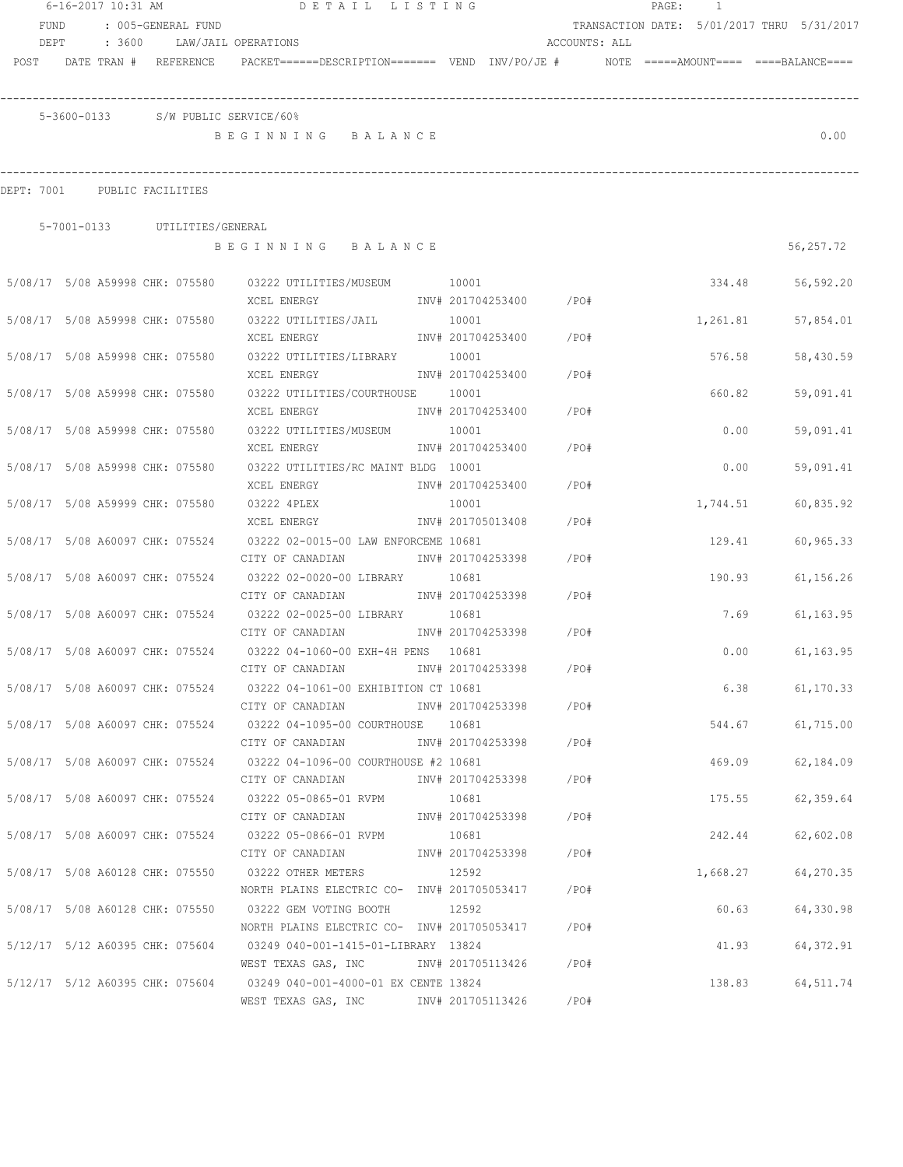|                                 | 6-16-2017 10:31 AM |                                 | DETAIL LISTING                                                                                                |                         |       | PAGE: | $\frac{1}{2}$ |                                            |
|---------------------------------|--------------------|---------------------------------|---------------------------------------------------------------------------------------------------------------|-------------------------|-------|-------|---------------|--------------------------------------------|
| FUND                            |                    | : 005-GENERAL FUND              |                                                                                                               |                         |       |       |               | TRANSACTION DATE: 5/01/2017 THRU 5/31/2017 |
| DEPT                            | : 3600             |                                 | LAW/JAIL OPERATIONS                                                                                           | ACCOUNTS: ALL           |       |       |               |                                            |
|                                 |                    | POST DATE TRAN # REFERENCE      | PACKET======DESCRIPTION======= VEND INV/PO/JE #    NOTE =====AMOUNT==== ====BALANCE====                       |                         |       |       |               |                                            |
|                                 |                    |                                 |                                                                                                               |                         |       |       |               |                                            |
|                                 |                    |                                 | 5-3600-0133 S/W PUBLIC SERVICE/60%                                                                            |                         |       |       |               |                                            |
|                                 |                    |                                 | BEGINNING BALANCE                                                                                             |                         |       |       |               | 0.00                                       |
|                                 |                    |                                 |                                                                                                               |                         |       |       |               |                                            |
| DEPT: 7001 PUBLIC FACILITIES    |                    |                                 |                                                                                                               |                         |       |       |               |                                            |
|                                 |                    |                                 |                                                                                                               |                         |       |       |               |                                            |
|                                 |                    | 5-7001-0133 UTILITIES/GENERAL   |                                                                                                               |                         |       |       |               |                                            |
|                                 |                    |                                 | BEGINNING BALANCE                                                                                             |                         |       |       |               | 56,257.72                                  |
|                                 |                    |                                 | 5/08/17 5/08 A59998 CHK: 075580 03222 UTILITIES/MUSEUM 10001                                                  |                         |       |       | 334.48        | 56,592.20                                  |
|                                 |                    |                                 | XCEL ENERGY 67 1NV# 201704253400 / PO#                                                                        |                         |       |       |               |                                            |
|                                 |                    | 5/08/17 5/08 A59998 CHK: 075580 | 03222 UTILITIES/JAIL                                                                                          | 10001                   |       |       | 1,261.81      | 57,854.01                                  |
|                                 |                    |                                 | XCEL ENERGY                                                                                                   | INV# 201704253400 /PO#  |       |       |               |                                            |
| 5/08/17 5/08 A59998 CHK: 075580 |                    |                                 | 03222 UTILITIES/LIBRARY 10001                                                                                 |                         |       |       | 576.58        | 58,430.59                                  |
|                                 |                    |                                 | XCEL ENERGY                                                                                                   | INV# 201704253400       | /PO#  |       |               |                                            |
| 5/08/17 5/08 A59998 CHK: 075580 |                    |                                 | 03222 UTILITIES/COURTHOUSE 10001                                                                              |                         |       |       | 660.82        | 59,091.41                                  |
|                                 |                    |                                 | XCEL ENERGY                                                                                                   | INV# 201704253400       | /PO#  |       |               |                                            |
| 5/08/17 5/08 A59998 CHK: 075580 |                    |                                 | 03222 UTILITIES/MUSEUM                                                                                        | 10001                   |       |       | 0.00          | 59,091.41                                  |
|                                 |                    |                                 | XCEL ENERGY                                                                                                   | INV# 201704253400       | /PO#  |       |               |                                            |
| 5/08/17 5/08 A59998 CHK: 075580 |                    |                                 | 03222 UTILITIES/RC MAINT BLDG 10001                                                                           |                         |       |       | 0.00          | 59,091.41                                  |
|                                 |                    |                                 | XCEL ENERGY                                                                                                   | INV# 201704253400       | /PO#  |       |               |                                            |
| 5/08/17 5/08 A59999 CHK: 075580 |                    |                                 | 03222 4PLEX                                                                                                   | 10001                   |       |       | 1,744.51      | 60,835.92                                  |
|                                 |                    |                                 | XCEL ENERGY                                                                                                   | INV# 201705013408       | /PO#  |       |               |                                            |
| 5/08/17 5/08 A60097 CHK: 075524 |                    |                                 | 03222 02-0015-00 LAW ENFORCEME 10681                                                                          |                         |       |       | 129.41        | 60,965.33                                  |
| 5/08/17 5/08 A60097 CHK: 075524 |                    |                                 | CITY OF CANADIAN<br>03222 02-0020-00 LIBRARY 10681                                                            | INV# 201704253398       | /PO#  |       |               |                                            |
|                                 |                    |                                 | CITY OF CANADIAN 1NV# 201704253398                                                                            |                         | /PO#  |       | 190.93        | 61,156.26                                  |
| 5/08/17 5/08 A60097 CHK: 075524 |                    |                                 | 03222 02-0025-00 LIBRARY 10681                                                                                |                         |       |       | 7.69          | 61,163.95                                  |
|                                 |                    |                                 | CITY OF CANADIAN MW# 201704253398                                                                             |                         | /PO#  |       |               |                                            |
| 5/08/17 5/08 A60097 CHK: 075524 |                    |                                 | 03222 04-1060-00 EXH-4H PENS 10681                                                                            |                         |       |       | 0.00          | 61, 163.95                                 |
|                                 |                    |                                 | CITY OF CANADIAN                                                                                              | INV# 201704253398       | /PO#  |       |               |                                            |
|                                 |                    |                                 | 5/08/17 5/08 A60097 CHK: 075524 03222 04-1061-00 EXHIBITION CT 10681                                          |                         |       |       | 6.38          | 61, 170.33                                 |
|                                 |                    |                                 | CITY OF CANADIAN                                                                                              | INV# 201704253398 /PO#  |       |       |               |                                            |
|                                 |                    |                                 | 5/08/17 5/08 A60097 CHK: 075524 03222 04-1095-00 COURTHOUSE 10681                                             |                         |       |       |               | 544.67 61,715.00                           |
|                                 |                    |                                 | CITY OF CANADIAN                                                                                              | INV# 201704253398 /PO#  |       |       |               |                                            |
|                                 |                    |                                 | 5/08/17 5/08 A60097 CHK: 075524 03222 04-1096-00 COURTHOUSE #2 10681                                          |                         |       |       | 469.09        | 62,184.09                                  |
|                                 |                    |                                 | CITY OF CANADIAN                                                                                              | INV# 201704253398 /PO#  |       |       |               |                                            |
|                                 |                    |                                 | 5/08/17 5/08 A60097 CHK: 075524 03222 05-0865-01 RVPM                                                         | 10681                   |       |       | 175.55        | 62,359.64                                  |
|                                 |                    |                                 | CITY OF CANADIAN                                                                                              | INV# 201704253398 / PO# |       |       |               |                                            |
|                                 |                    |                                 | 5/08/17 5/08 A60097 CHK: 075524 03222 05-0866-01 RVPM                                                         | 10681                   |       |       | 242.44        | 62,602.08                                  |
|                                 |                    |                                 | CITY OF CANADIAN                                                                                              | INV# 201704253398 /PO#  |       |       |               |                                            |
|                                 |                    |                                 | 5/08/17 5/08 A60128 CHK: 075550 03222 OTHER METERS                                                            | 12592                   |       |       | 1,668.27      | 64,270.35                                  |
|                                 |                    |                                 | NORTH PLAINS ELECTRIC CO- INV# 201705053417 / PO#                                                             |                         |       |       |               |                                            |
|                                 |                    |                                 | 5/08/17 5/08 A60128 CHK: 075550 03222 GEM VOTING BOOTH 12592                                                  |                         |       |       | 60.63         | 64,330.98                                  |
|                                 |                    |                                 | NORTH PLAINS ELECTRIC CO- INV# 201705053417 / PO#                                                             |                         |       |       |               |                                            |
|                                 |                    |                                 | 5/12/17 5/12 A60395 CHK: 075604 03249 040-001-1415-01-LIBRARY 13824                                           |                         |       |       | 41.93         | 64,372.91                                  |
|                                 |                    |                                 | WEST TEXAS GAS, INC MONTH 201705113426 / PO#                                                                  |                         |       |       |               |                                            |
|                                 |                    |                                 | 5/12/17 5/12 A60395 CHK: 075604 03249 040-001-4000-01 EX CENTE 13824<br>WEST TEXAS GAS, INC NNV# 201705113426 |                         | / PO# |       | 138.83        | 64,511.74                                  |
|                                 |                    |                                 |                                                                                                               |                         |       |       |               |                                            |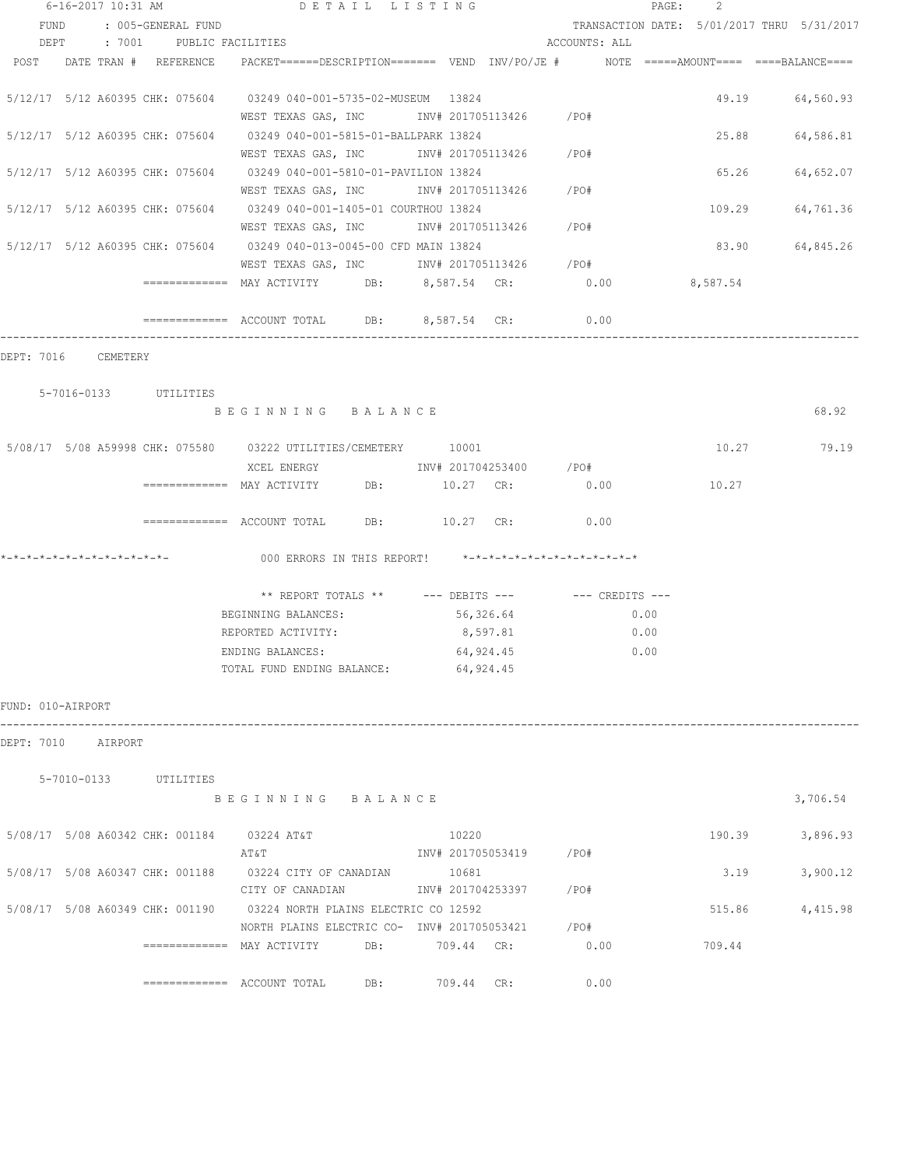|                   | 6-16-2017 10:31 AM         |                    | DETAIL LISTING                                                                                     |     |                         |           |                                                   | PAGE:<br>2 |                                            |
|-------------------|----------------------------|--------------------|----------------------------------------------------------------------------------------------------|-----|-------------------------|-----------|---------------------------------------------------|------------|--------------------------------------------|
| FUND              |                            | : 005-GENERAL FUND |                                                                                                    |     |                         |           |                                                   |            | TRANSACTION DATE: 5/01/2017 THRU 5/31/2017 |
|                   |                            |                    | DEPT : 7001 PUBLIC FACILITIES                                                                      |     |                         |           | ACCOUNTS: ALL                                     |            |                                            |
|                   | POST DATE TRAN # REFERENCE |                    | PACKET======DESCRIPTION========  VEND  INV/PO/JE #          NOTE  =====AMOUNT====  ====BALANCE==== |     |                         |           |                                                   |            |                                            |
|                   |                            |                    | 5/12/17 5/12 A60395 CHK: 075604 03249 040-001-5735-02-MUSEUM 13824                                 |     |                         |           |                                                   |            | 49.19 64,560.93                            |
|                   |                            |                    | WEST TEXAS GAS, INC        INV# 201705113426      /PO#                                             |     |                         |           |                                                   |            |                                            |
|                   |                            |                    | 5/12/17 5/12 A60395 CHK: 075604 03249 040-001-5815-01-BALLPARK 13824                               |     |                         |           |                                                   |            | 25.88<br>64,586.81                         |
|                   |                            |                    | WEST TEXAS GAS, INC        INV# 201705113426     /PO#                                              |     |                         |           |                                                   |            |                                            |
|                   |                            |                    | 5/12/17 5/12 A60395 CHK: 075604 03249 040-001-5810-01-PAVILION 13824                               |     |                         |           |                                                   |            | 65.26<br>64,652.07                         |
|                   |                            |                    | WEST TEXAS GAS, INC      INV# 201705113426     /PO#                                                |     |                         |           |                                                   |            |                                            |
|                   |                            |                    | 5/12/17 5/12 A60395 CHK: 075604 03249 040-001-1405-01 COURTHOU 13824                               |     |                         |           |                                                   |            | 109.29<br>64,761.36                        |
|                   |                            |                    | WEST TEXAS GAS, INC MONTH 201705113426 / PO#                                                       |     |                         |           |                                                   |            |                                            |
|                   |                            |                    | 5/12/17 5/12 A60395 CHK: 075604 03249 040-013-0045-00 CFD MAIN 13824                               |     |                         |           |                                                   | 83.90      | 64,845.26                                  |
|                   |                            |                    | WEST TEXAS GAS, INC MOV# 201705113426 / PO#                                                        |     |                         |           |                                                   |            |                                            |
|                   |                            |                    | ============= MAY ACTIVITY DB: 8,587.54 CR: 0.00 8,587.54                                          |     |                         |           |                                                   |            |                                            |
|                   |                            |                    | ============ ACCOUNT TOTAL DB: 8,587.54 CR: 0.00                                                   |     |                         |           |                                                   |            |                                            |
|                   | DEPT: 7016 CEMETERY        |                    |                                                                                                    |     |                         |           |                                                   |            |                                            |
|                   | 5-7016-0133 UTILITIES      |                    |                                                                                                    |     |                         |           |                                                   |            |                                            |
|                   |                            |                    | BEGINNING BALANCE                                                                                  |     |                         |           |                                                   |            | 68.92                                      |
|                   |                            |                    | 5/08/17 5/08 A59998 CHK: 075580 03222 UTILITIES/CEMETERY 10001                                     |     |                         |           |                                                   |            | 10.27 79.19                                |
|                   |                            |                    |                                                                                                    |     |                         |           |                                                   |            |                                            |
|                   |                            |                    | ============ MAY ACTIVITY DB: 10.27 CR: 0.00                                                       |     |                         |           |                                                   | 10.27      |                                            |
|                   |                            |                    |                                                                                                    |     |                         |           |                                                   |            |                                            |
|                   |                            |                    | $\texttt{-----}$ ============ ACCOUNT TOTAL DB: $10.27$ CR:                                        |     |                         |           | 0.00                                              |            |                                            |
|                   |                            |                    | 000 ERRORS IN THIS REPORT! *-*-*-*-*-*-*-*-*-*-*-*-*-*-                                            |     |                         |           |                                                   |            |                                            |
|                   |                            |                    |                                                                                                    |     |                         |           | ** REPORT TOTALS ** --- DEBITS --- -- CREDITS --- |            |                                            |
|                   |                            |                    | BEGINNING BALANCES:                                                                                |     |                         | 56,326.64 | 0.00                                              |            |                                            |
|                   |                            |                    | REPORTED ACTIVITY:                                                                                 |     |                         | 8,597.81  | 0.00                                              |            |                                            |
|                   |                            |                    | ENDING BALANCES:                                                                                   |     |                         | 64,924.45 | 0.00                                              |            |                                            |
|                   |                            |                    | TOTAL FUND ENDING BALANCE: 64,924.45                                                               |     |                         |           |                                                   |            |                                            |
| FUND: 010-AIRPORT |                            |                    |                                                                                                    |     |                         |           |                                                   |            |                                            |
|                   | DEPT: 7010 AIRPORT         |                    |                                                                                                    |     |                         |           |                                                   |            |                                            |
|                   | 5-7010-0133 UTILITIES      |                    |                                                                                                    |     |                         |           |                                                   |            |                                            |
|                   |                            |                    | BEGINNING BALANCE                                                                                  |     |                         |           |                                                   |            | 3,706.54                                   |
|                   |                            |                    | 5/08/17 5/08 A60342 CHK: 001184 03224 AT&T                                                         |     | 10220                   |           |                                                   |            | 190.39<br>3,896.93                         |
|                   |                            |                    | AT&T                                                                                               |     | INV# 201705053419 / PO# |           |                                                   |            |                                            |
|                   |                            |                    |                                                                                                    |     |                         |           |                                                   |            |                                            |
|                   |                            |                    | 5/08/17 5/08 A60347 CHK: 001188 03224 CITY OF CANADIAN 10681                                       |     |                         |           |                                                   |            | 3.19<br>3,900.12                           |
|                   |                            |                    | CITY OF CANADIAN                                                                                   |     | INV# 201704253397 /PO#  |           |                                                   |            |                                            |
|                   |                            |                    | 5/08/17 5/08 A60349 CHK: 001190 03224 NORTH PLAINS ELECTRIC CO 12592                               |     |                         |           |                                                   |            | 515.86<br>4,415.98                         |
|                   |                            |                    | NORTH PLAINS ELECTRIC CO- INV# 201705053421 / PO#                                                  |     |                         |           |                                                   |            |                                            |
|                   |                            |                    | ============ MAY ACTIVITY DB: 709.44 CR: 0.00                                                      |     |                         |           |                                                   | 709.44     |                                            |
|                   |                            |                    |                                                                                                    | DB: | 709.44 CR:              |           | 0.00                                              |            |                                            |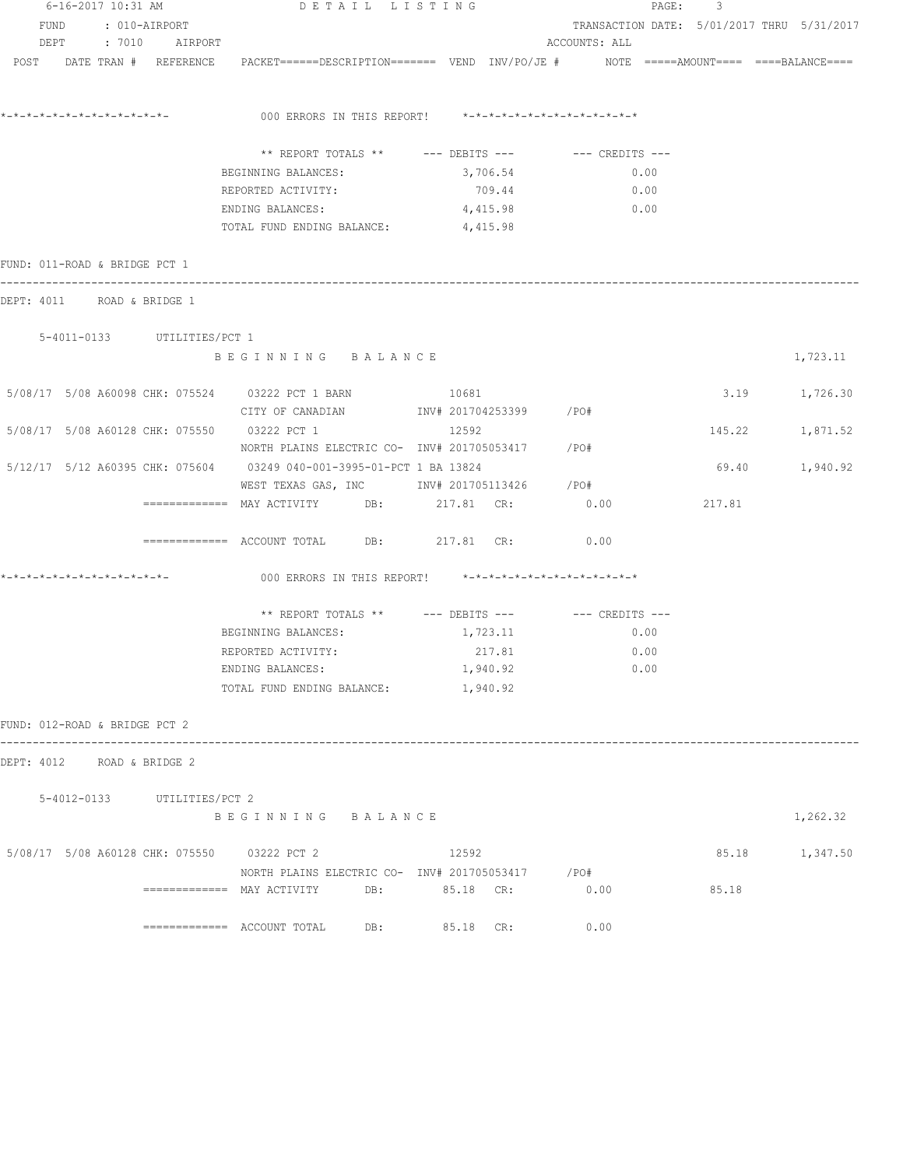|                               |  | 6-16-2017 10:31 AM |                               | DETAIL LISTING                                                                                         |          |               | PAGE: | 3                                          |                 |  |
|-------------------------------|--|--------------------|-------------------------------|--------------------------------------------------------------------------------------------------------|----------|---------------|-------|--------------------------------------------|-----------------|--|
| FUND : 010-AIRPORT            |  |                    |                               |                                                                                                        |          |               |       | TRANSACTION DATE: 5/01/2017 THRU 5/31/2017 |                 |  |
| DEPT : 7010 AIRPORT           |  |                    |                               |                                                                                                        |          | ACCOUNTS: ALL |       |                                            |                 |  |
|                               |  |                    | POST DATE TRAN # REFERENCE    | PACKET======DESCRIPTION======= VEND INV/PO/JE #    NOTE =====AMOUNT==== ====BALANCE====                |          |               |       |                                            |                 |  |
|                               |  |                    |                               | 000 ERRORS IN THIS REPORT! *-*-*-*-*-*-*-*-*-*-*-*-*-*-                                                |          |               |       |                                            |                 |  |
|                               |  |                    |                               |                                                                                                        |          |               |       |                                            |                 |  |
|                               |  |                    |                               | ** REPORT TOTALS ** --- DEBITS --- -- CREDITS ---                                                      |          |               |       |                                            |                 |  |
|                               |  |                    |                               | BEGINNING BALANCES:                                                                                    | 3,706.54 | 0.00          |       |                                            |                 |  |
|                               |  |                    |                               | REPORTED ACTIVITY:                                                                                     | 709.44   | 0.00          |       |                                            |                 |  |
|                               |  |                    |                               | ENDING BALANCES:<br>TOTAL FUND ENDING BALANCE: 4,415.98                                                | 4,415.98 | 0.00          |       |                                            |                 |  |
|                               |  |                    | FUND: 011-ROAD & BRIDGE PCT 1 |                                                                                                        |          |               |       |                                            |                 |  |
|                               |  |                    | DEPT: 4011 ROAD & BRIDGE 1    |                                                                                                        |          |               |       |                                            |                 |  |
|                               |  |                    | 5-4011-0133 UTILITIES/PCT 1   |                                                                                                        |          |               |       |                                            |                 |  |
|                               |  |                    |                               | BEGINNING BALANCE                                                                                      |          |               |       |                                            | 1,723.11        |  |
|                               |  |                    |                               | 5/08/17 5/08 A60098 CHK: 075524 03222 PCT 1 BARN                                                       | 10681    |               |       |                                            | 3.19 1,726.30   |  |
|                               |  |                    |                               | CITY OF CANADIAN                INV# 201704253399         /PO#                                         |          |               |       |                                            |                 |  |
|                               |  |                    |                               | 5/08/17 5/08 A60128 CHK: 075550 03222 PCT 1                                                            | 12592    |               |       |                                            | 145.22 1,871.52 |  |
|                               |  |                    |                               | NORTH PLAINS ELECTRIC CO- INV# 201705053417 / PO#                                                      |          |               |       |                                            |                 |  |
|                               |  |                    |                               | 5/12/17 5/12 A60395 CHK: 075604 03249 040-001-3995-01-PCT 1 BA 13824                                   |          |               |       |                                            | 69.40 1,940.92  |  |
|                               |  |                    |                               | WEST TEXAS GAS, INC        INV# 201705113426     /PO#<br>============ MAY ACTIVITY DB: 217.81 CR: 0.00 |          |               |       | 217.81                                     |                 |  |
|                               |  |                    |                               | ============= ACCOUNT TOTAL DB: 217.81 CR:                                                             |          | 0.00          |       |                                            |                 |  |
|                               |  |                    |                               |                                                                                                        |          |               |       |                                            |                 |  |
|                               |  |                    |                               | 000 ERRORS IN THIS REPORT! *-*-*-*-*-*-*-*-*-*-*-*-*-*-                                                |          |               |       |                                            |                 |  |
|                               |  |                    |                               | ** REPORT TOTALS ** --- DEBITS --- -- -- CREDITS ---                                                   |          |               |       |                                            |                 |  |
|                               |  |                    |                               | BEGINNING BALANCES:                                                                                    | 1,723.11 | 0.00          |       |                                            |                 |  |
|                               |  |                    |                               | REPORTED ACTIVITY:                                                                                     | 217.81   | 0.00          |       |                                            |                 |  |
|                               |  |                    |                               | ENDING BALANCES:                                                                                       | 1,940.92 | 0.00          |       |                                            |                 |  |
|                               |  |                    |                               | TOTAL FUND ENDING BALANCE: 1,940.92                                                                    |          |               |       |                                            |                 |  |
| FUND: 012-ROAD & BRIDGE PCT 2 |  |                    |                               |                                                                                                        |          |               |       |                                            |                 |  |
|                               |  |                    | DEPT: 4012 ROAD & BRIDGE 2    |                                                                                                        |          |               |       |                                            |                 |  |
|                               |  |                    | 5-4012-0133 UTILITIES/PCT 2   |                                                                                                        |          |               |       |                                            |                 |  |
|                               |  |                    |                               | BEGINNING BALANCE                                                                                      |          |               |       |                                            | 1,262.32        |  |
|                               |  |                    |                               | 5/08/17 5/08 A60128 CHK: 075550 03222 PCT 2                                                            | 12592    |               |       |                                            | 85.18 1,347.50  |  |
|                               |  |                    |                               | NORTH PLAINS ELECTRIC CO- INV# 201705053417 / PO#                                                      |          |               |       |                                            |                 |  |
|                               |  |                    |                               | ============= MAY ACTIVITY DB: 05.18 CR:                                                               |          | 0.00          |       | 85.18                                      |                 |  |
|                               |  |                    |                               | $\overline{\phantom{1}}$ ============= ACCOUNT TOTAL DB: 85.18 CR:                                     |          | 0.00          |       |                                            |                 |  |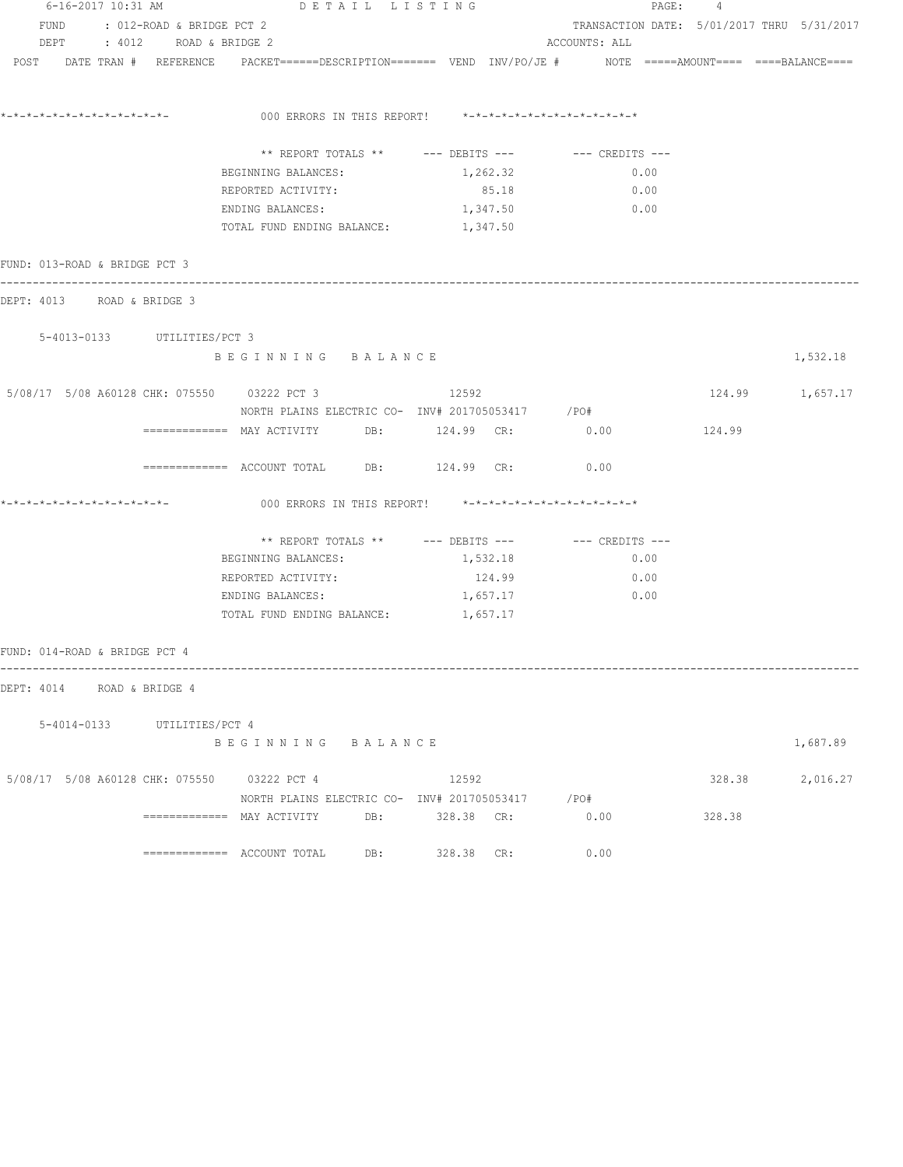| 6-16-2017 10:31 AM                          |                                | DETAIL LISTING                            |                                                                                                                |                                                  | PAGE: 4 |                 |  |  |  |
|---------------------------------------------|--------------------------------|-------------------------------------------|----------------------------------------------------------------------------------------------------------------|--------------------------------------------------|---------|-----------------|--|--|--|
|                                             | FUND : 012-ROAD & BRIDGE PCT 2 |                                           |                                                                                                                | TRANSACTION DATE: 5/01/2017 THRU 5/31/2017       |         |                 |  |  |  |
|                                             | DEPT : 4012 ROAD & BRIDGE 2    |                                           |                                                                                                                | ACCOUNTS: ALL                                    |         |                 |  |  |  |
|                                             |                                |                                           | POST DATE TRAN # REFERENCE PACKET======DESCRIPTION======= VEND INV/PO/JE # NOTE =====AMOUNT==== ===BALANCE==== |                                                  |         |                 |  |  |  |
|                                             |                                |                                           | 000 ERRORS IN THIS REPORT! *-*-*-*-*-*-*-*-*-*-*-*-*-*-                                                        |                                                  |         |                 |  |  |  |
|                                             |                                |                                           |                                                                                                                |                                                  |         |                 |  |  |  |
|                                             |                                |                                           | ** REPORT TOTALS ** --- DEBITS --- -- -- CREDITS ---                                                           |                                                  |         |                 |  |  |  |
|                                             |                                | BEGINNING BALANCES:                       | 1,262.32                                                                                                       | 0.00                                             |         |                 |  |  |  |
|                                             |                                | REPORTED ACTIVITY:                        | 85.18                                                                                                          | 0.00                                             |         |                 |  |  |  |
|                                             |                                | ENDING BALANCES:                          | 1,347.50                                                                                                       | $\begin{array}{ccc} & & 0 \\ \hline \end{array}$ |         |                 |  |  |  |
|                                             |                                | TOTAL FUND ENDING BALANCE: 1,347.50       |                                                                                                                |                                                  |         |                 |  |  |  |
| FUND: 013-ROAD & BRIDGE PCT 3               |                                |                                           |                                                                                                                |                                                  |         |                 |  |  |  |
| DEPT: 4013 ROAD & BRIDGE 3                  |                                |                                           |                                                                                                                |                                                  |         |                 |  |  |  |
|                                             | 5-4013-0133 UTILITIES/PCT 3    |                                           |                                                                                                                |                                                  |         |                 |  |  |  |
|                                             |                                | BEGINNING BALANCE                         |                                                                                                                |                                                  |         | 1,532.18        |  |  |  |
| 5/08/17 5/08 A60128 CHK: 075550 03222 PCT 3 |                                |                                           | 12592                                                                                                          |                                                  |         | 124.99 1,657.17 |  |  |  |
|                                             |                                |                                           | NORTH PLAINS ELECTRIC CO- INV# 201705053417 / PO#                                                              |                                                  |         |                 |  |  |  |
|                                             |                                |                                           | ============ MAY ACTIVITY DB: 124.99 CR: 0.00                                                                  |                                                  | 124.99  |                 |  |  |  |
|                                             |                                |                                           | ============ ACCOUNT TOTAL DB: 124.99 CR: 0.00                                                                 |                                                  |         |                 |  |  |  |
|                                             |                                |                                           | 000 ERRORS IN THIS REPORT! *-*-*-*-*-*-*-*-*-*-*-*-*-*-                                                        |                                                  |         |                 |  |  |  |
|                                             |                                |                                           | ** REPORT TOTALS ** --- DEBITS --- -- -- CREDITS ---                                                           |                                                  |         |                 |  |  |  |
|                                             |                                | BEGINNING BALANCES:                       | 1,532.18                                                                                                       | 0.00                                             |         |                 |  |  |  |
|                                             |                                | REPORTED ACTIVITY:                        | 124.99                                                                                                         | 0.00                                             |         |                 |  |  |  |
|                                             |                                | ENDING BALANCES:                          | 1,657.17                                                                                                       | 0.00                                             |         |                 |  |  |  |
|                                             |                                | TOTAL FUND ENDING BALANCE: 1,657.17       |                                                                                                                |                                                  |         |                 |  |  |  |
| FUND: 014-ROAD & BRIDGE PCT 4               |                                |                                           |                                                                                                                |                                                  |         |                 |  |  |  |
| DEPT: 4014 ROAD & BRIDGE 4                  |                                |                                           |                                                                                                                |                                                  |         |                 |  |  |  |
|                                             | 5-4014-0133 UTILITIES/PCT 4    |                                           |                                                                                                                |                                                  |         |                 |  |  |  |
|                                             |                                | BEGINNING BALANCE                         |                                                                                                                |                                                  |         | 1,687.89        |  |  |  |
| 5/08/17 5/08 A60128 CHK: 075550 03222 PCT 4 |                                |                                           | 12592                                                                                                          |                                                  |         | 328.38 2,016.27 |  |  |  |
|                                             |                                |                                           | NORTH PLAINS ELECTRIC CO- INV# 201705053417 / PO#                                                              |                                                  |         |                 |  |  |  |
|                                             |                                | ============= MAY ACTIVITY DB: 328.38 CR: |                                                                                                                | 0.00                                             | 328.38  |                 |  |  |  |
|                                             |                                |                                           | 328.38 CR:                                                                                                     | 0.00                                             |         |                 |  |  |  |